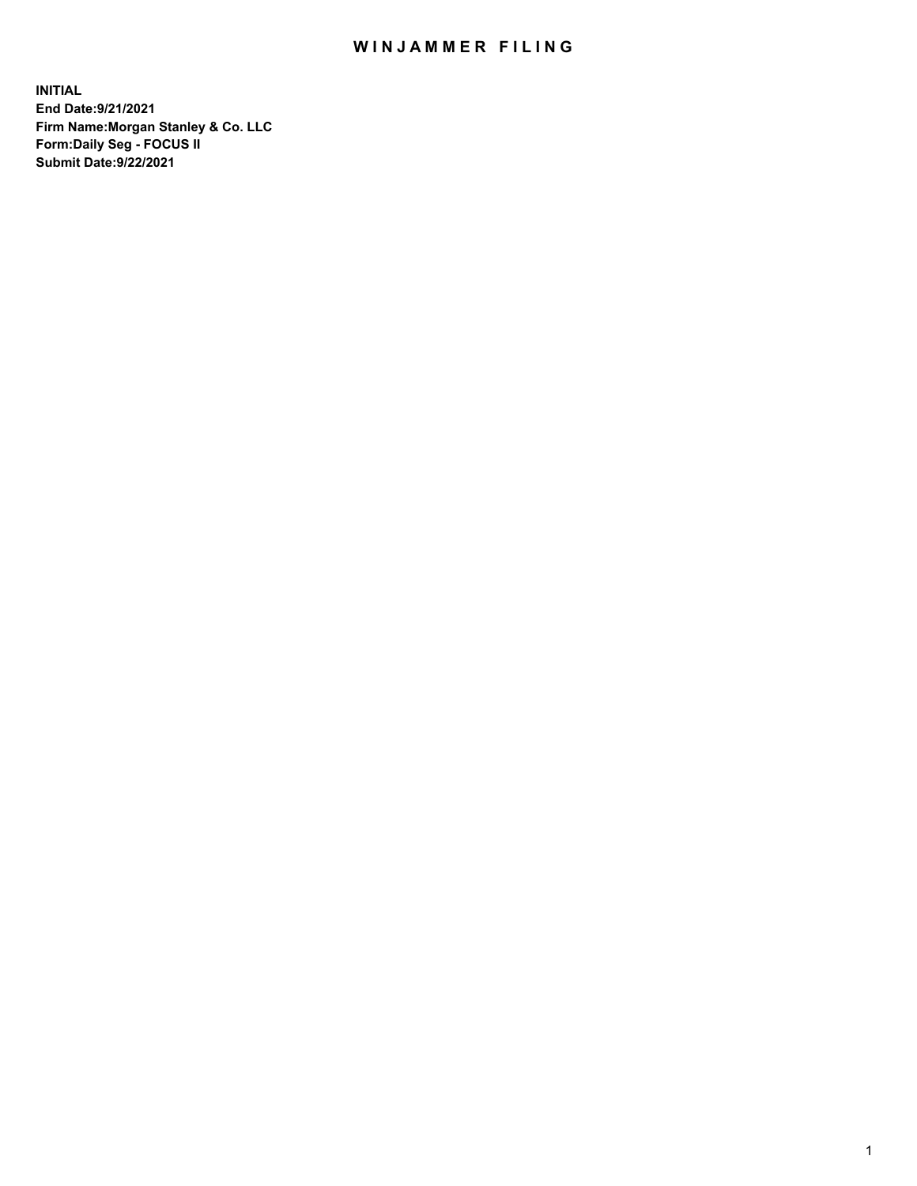## WIN JAMMER FILING

**INITIAL End Date:9/21/2021 Firm Name:Morgan Stanley & Co. LLC Form:Daily Seg - FOCUS II Submit Date:9/22/2021**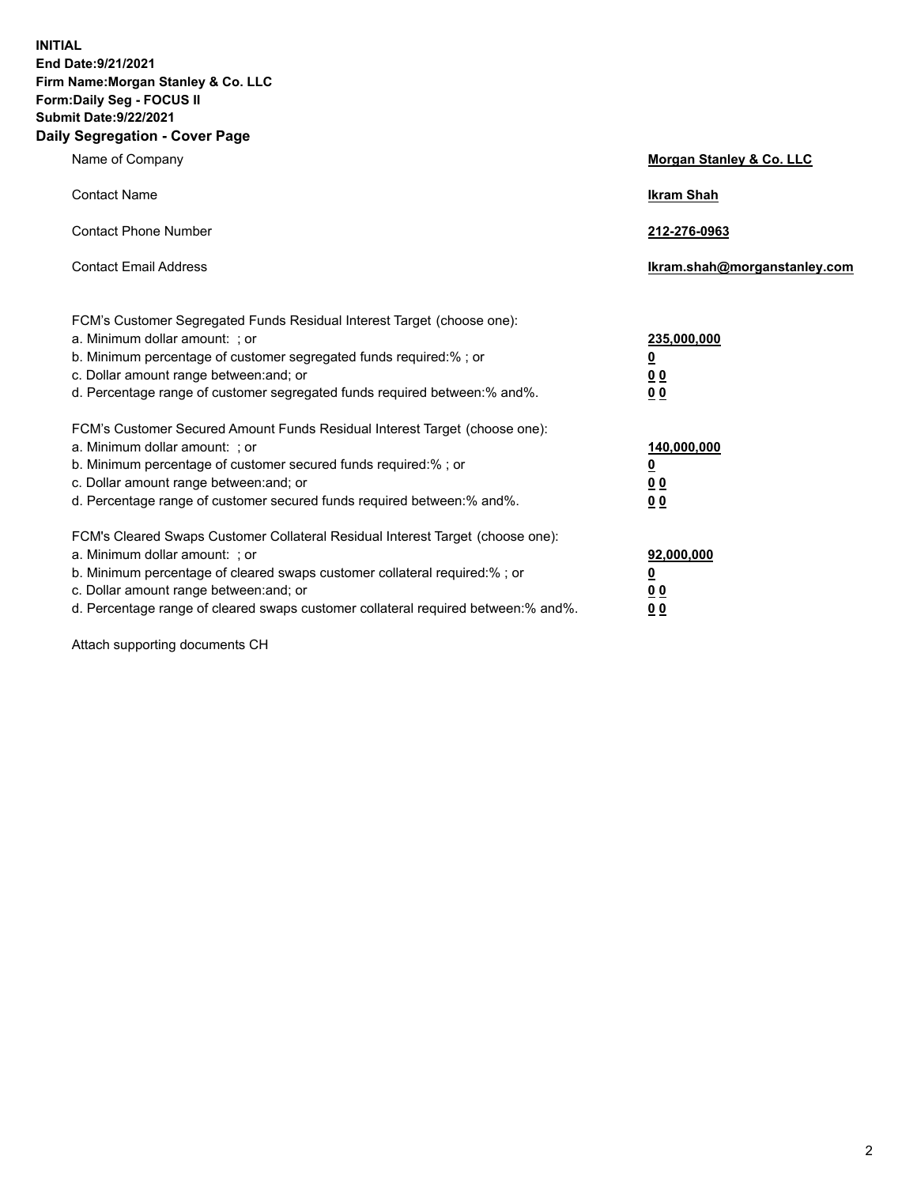**INITIAL End Date:9/21/2021 Firm Name:Morgan Stanley & Co. LLC Form:Daily Seg - FOCUS II Submit Date:9/22/2021 Daily Segregation - Cover Page**

| Name of Company                                                                                                                                                                                                                                                                                                                | <b>Morgan Stanley &amp; Co. LLC</b>                    |
|--------------------------------------------------------------------------------------------------------------------------------------------------------------------------------------------------------------------------------------------------------------------------------------------------------------------------------|--------------------------------------------------------|
| <b>Contact Name</b>                                                                                                                                                                                                                                                                                                            | <b>Ikram Shah</b>                                      |
| <b>Contact Phone Number</b>                                                                                                                                                                                                                                                                                                    | 212-276-0963                                           |
| <b>Contact Email Address</b>                                                                                                                                                                                                                                                                                                   | Ikram.shah@morganstanley.com                           |
| FCM's Customer Segregated Funds Residual Interest Target (choose one):<br>a. Minimum dollar amount: : or<br>b. Minimum percentage of customer segregated funds required:%; or<br>c. Dollar amount range between: and; or<br>d. Percentage range of customer segregated funds required between:% and%.                          | 235,000,000<br><u>0</u><br><u>00</u><br><u>00</u>      |
| FCM's Customer Secured Amount Funds Residual Interest Target (choose one):<br>a. Minimum dollar amount: ; or<br>b. Minimum percentage of customer secured funds required:%; or<br>c. Dollar amount range between: and; or<br>d. Percentage range of customer secured funds required between:% and%.                            | 140,000,000<br><u>0</u><br><u>00</u><br>0 <sub>0</sub> |
| FCM's Cleared Swaps Customer Collateral Residual Interest Target (choose one):<br>a. Minimum dollar amount: ; or<br>b. Minimum percentage of cleared swaps customer collateral required:% ; or<br>c. Dollar amount range between: and; or<br>d. Percentage range of cleared swaps customer collateral required between:% and%. | 92,000,000<br><u>0</u><br><u>00</u><br>00              |

Attach supporting documents CH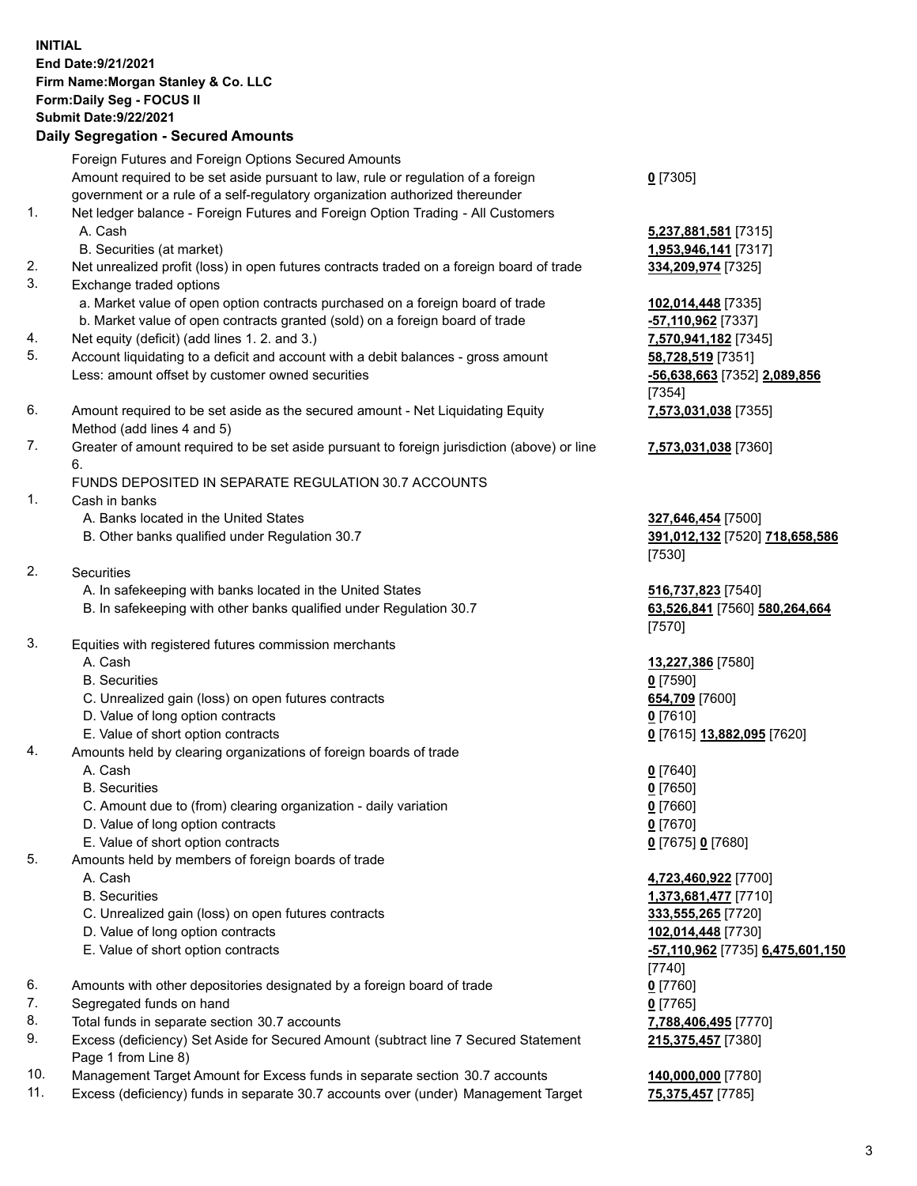## **INITIAL End Date:9/21/2021 Firm Name:Morgan Stanley & Co. LLC Form:Daily Seg - FOCUS II Submit Date:9/22/2021**

## **Daily Segregation - Secured Amounts**

Foreign Futures and Foreign Options Secured Amounts Amount required to be set aside pursuant to law, rule or regulation of a foreign government or a rule of a self-regulatory organization authorized thereunder 1. Net ledger balance - Foreign Futures and Foreign Option Trading - All Customers A. Cash **5,237,881,581** [7315] B. Securities (at market) **1,953,946,141** [7317] 2. Net unrealized profit (loss) in open futures contracts traded on a foreign board of trade **334,209,974** [7325] 3. Exchange traded options a. Market value of open option contracts purchased on a foreign board of trade **102,014,448** [7335] b. Market value of open contracts granted (sold) on a foreign board of trade **-57,110,962** [7337] 4. Net equity (deficit) (add lines 1. 2. and 3.) **7,570,941,182** [7345] 5. Account liquidating to a deficit and account with a debit balances - gross amount **58,728,519** [7351] Less: amount offset by customer owned securities **-56,638,663** [7352] **2,089,856** 6. Amount required to be set aside as the secured amount - Net Liquidating Equity Method (add lines 4 and 5) 7. Greater of amount required to be set aside pursuant to foreign jurisdiction (above) or line 6. FUNDS DEPOSITED IN SEPARATE REGULATION 30.7 ACCOUNTS 1. Cash in banks A. Banks located in the United States **327,646,454** [7500] B. Other banks qualified under Regulation 30.7 **391,012,132** [7520] **718,658,586** 2. Securities A. In safekeeping with banks located in the United States **516,737,823** [7540] B. In safekeeping with other banks qualified under Regulation 30.7 **63,526,841** [7560] **580,264,664** 3. Equities with registered futures commission merchants A. Cash **13,227,386** [7580] B. Securities **0** [7590] C. Unrealized gain (loss) on open futures contracts **654,709** [7600] D. Value of long option contracts **0** [7610] E. Value of short option contracts **0** [7615] **13,882,095** [7620] 4. Amounts held by clearing organizations of foreign boards of trade A. Cash **0** [7640] B. Securities **0** [7650] C. Amount due to (from) clearing organization - daily variation **0** [7660] D. Value of long option contracts **0** [7670] E. Value of short option contracts **0** [7675] **0** [7680] 5. Amounts held by members of foreign boards of trade A. Cash **4,723,460,922** [7700] B. Securities **1,373,681,477** [7710] C. Unrealized gain (loss) on open futures contracts **333,555,265** [7720] D. Value of long option contracts **102,014,448** [7730] E. Value of short option contracts **-57,110,962** [7735] **6,475,601,150**

- 6. Amounts with other depositories designated by a foreign board of trade **0** [7760]
- 7. Segregated funds on hand **0** [7765]
- 8. Total funds in separate section 30.7 accounts **7,788,406,495** [7770]
- 9. Excess (deficiency) Set Aside for Secured Amount (subtract line 7 Secured Statement Page 1 from Line 8)
- 10. Management Target Amount for Excess funds in separate section 30.7 accounts **140,000,000** [7780]
- 11. Excess (deficiency) funds in separate 30.7 accounts over (under) Management Target **75,375,457** [7785]

**0** [7305]

[7354] **7,573,031,038** [7355]

**7,573,031,038** [7360]

[7530]

[7570]

[7740] **215,375,457** [7380]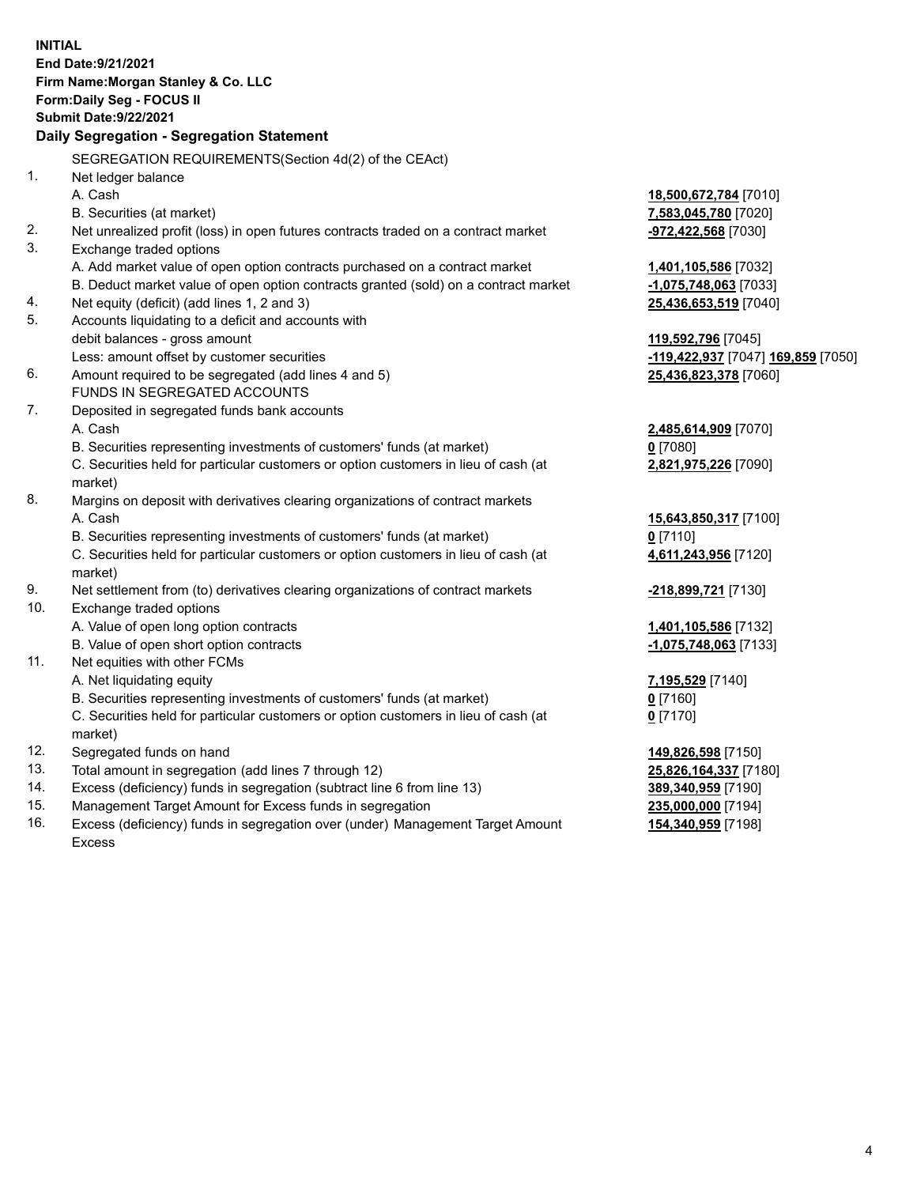**INITIAL End Date:9/21/2021 Firm Name:Morgan Stanley & Co. LLC Form:Daily Seg - FOCUS II Submit Date:9/22/2021 Daily Segregation - Segregation Statement** SEGREGATION REQUIREMENTS(Section 4d(2) of the CEAct) 1. Net ledger balance A. Cash **18,500,672,784** [7010] B. Securities (at market) **7,583,045,780** [7020] 2. Net unrealized profit (loss) in open futures contracts traded on a contract market **-972,422,568** [7030] 3. Exchange traded options A. Add market value of open option contracts purchased on a contract market **1,401,105,586** [7032] B. Deduct market value of open option contracts granted (sold) on a contract market **-1,075,748,063** [7033] 4. Net equity (deficit) (add lines 1, 2 and 3) **25,436,653,519** [7040] 5. Accounts liquidating to a deficit and accounts with debit balances - gross amount **119,592,796** [7045] Less: amount offset by customer securities **-119,422,937** [7047] **169,859** [7050] 6. Amount required to be segregated (add lines 4 and 5) **25,436,823,378** [7060] FUNDS IN SEGREGATED ACCOUNTS 7. Deposited in segregated funds bank accounts A. Cash **2,485,614,909** [7070] B. Securities representing investments of customers' funds (at market) **0** [7080] C. Securities held for particular customers or option customers in lieu of cash (at market) **2,821,975,226** [7090] 8. Margins on deposit with derivatives clearing organizations of contract markets A. Cash **15,643,850,317** [7100] B. Securities representing investments of customers' funds (at market) **0** [7110] C. Securities held for particular customers or option customers in lieu of cash (at market) **4,611,243,956** [7120] 9. Net settlement from (to) derivatives clearing organizations of contract markets **-218,899,721** [7130] 10. Exchange traded options A. Value of open long option contracts **1,401,105,586** [7132] B. Value of open short option contracts **-1,075,748,063** [7133] 11. Net equities with other FCMs A. Net liquidating equity **7,195,529** [7140] B. Securities representing investments of customers' funds (at market) **0** [7160] C. Securities held for particular customers or option customers in lieu of cash (at market) **0** [7170] 12. Segregated funds on hand **149,826,598** [7150] 13. Total amount in segregation (add lines 7 through 12) **25,826,164,337** [7180] 14. Excess (deficiency) funds in segregation (subtract line 6 from line 13) **389,340,959** [7190] 15. Management Target Amount for Excess funds in segregation **235,000,000** [7194]

16. Excess (deficiency) funds in segregation over (under) Management Target Amount Excess

**154,340,959** [7198]